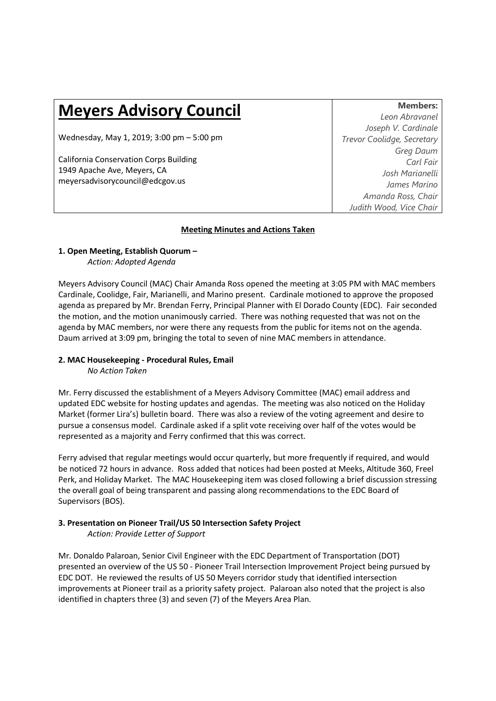# **Meyers Advisory Council**

Wednesday, May 1, 2019; 3:00 pm – 5:00 pm

California Conservation Corps Building 1949 Apache Ave, Meyers, CA meyersadvisorycouncil@edcgov.us

**Members:** *Leon Abravanel Joseph V. Cardinale Trevor Coolidge, Secretary Greg Daum Carl Fair Josh Marianelli James Marino Amanda Ross, Chair Judith Wood, Vice Chair* 

#### **Meeting Minutes and Actions Taken**

## **1. Open Meeting, Establish Quorum –**

*Action: Adopted Agenda* 

Meyers Advisory Council (MAC) Chair Amanda Ross opened the meeting at 3:05 PM with MAC members Cardinale, Coolidge, Fair, Marianelli, and Marino present. Cardinale motioned to approve the proposed agenda as prepared by Mr. Brendan Ferry, Principal Planner with El Dorado County (EDC). Fair seconded the motion, and the motion unanimously carried. There was nothing requested that was not on the agenda by MAC members, nor were there any requests from the public for items not on the agenda. Daum arrived at 3:09 pm, bringing the total to seven of nine MAC members in attendance.

### **2. MAC Housekeeping - Procedural Rules, Email**

*No Action Taken* 

Mr. Ferry discussed the establishment of a Meyers Advisory Committee (MAC) email address and updated EDC website for hosting updates and agendas. The meeting was also noticed on the Holiday Market (former Lira's) bulletin board. There was also a review of the voting agreement and desire to pursue a consensus model. Cardinale asked if a split vote receiving over half of the votes would be represented as a majority and Ferry confirmed that this was correct.

Ferry advised that regular meetings would occur quarterly, but more frequently if required, and would be noticed 72 hours in advance. Ross added that notices had been posted at Meeks, Altitude 360, Freel Perk, and Holiday Market. The MAC Housekeeping item was closed following a brief discussion stressing the overall goal of being transparent and passing along recommendations to the EDC Board of Supervisors (BOS).

## **3. Presentation on Pioneer Trail/US 50 Intersection Safety Project**

*Action: Provide Letter of Support* 

Mr. Donaldo Palaroan, Senior Civil Engineer with the EDC Department of Transportation (DOT) presented an overview of the US 50 - Pioneer Trail Intersection Improvement Project being pursued by EDC DOT. He reviewed the results of US 50 Meyers corridor study that identified intersection improvements at Pioneer trail as a priority safety project. Palaroan also noted that the project is also identified in chapters three (3) and seven (7) of the Meyers Area Plan.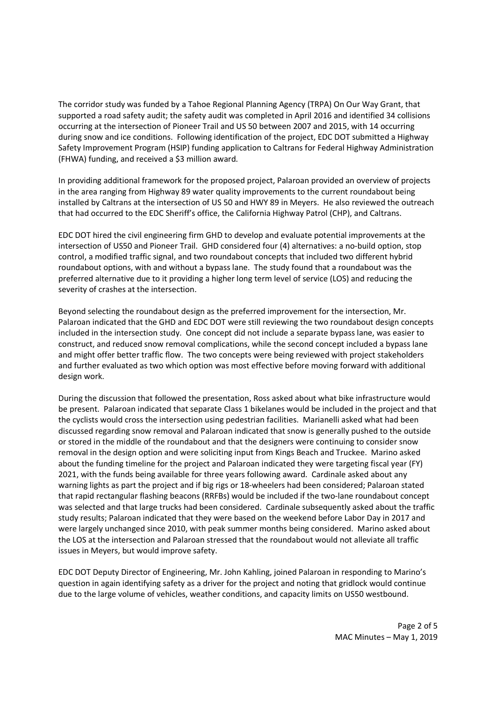The corridor study was funded by a Tahoe Regional Planning Agency (TRPA) On Our Way Grant, that supported a road safety audit; the safety audit was completed in April 2016 and identified 34 collisions occurring at the intersection of Pioneer Trail and US 50 between 2007 and 2015, with 14 occurring during snow and ice conditions. Following identification of the project, EDC DOT submitted a Highway Safety Improvement Program (HSIP) funding application to Caltrans for Federal Highway Administration (FHWA) funding, and received a \$3 million award.

In providing additional framework for the proposed project, Palaroan provided an overview of projects in the area ranging from Highway 89 water quality improvements to the current roundabout being installed by Caltrans at the intersection of US 50 and HWY 89 in Meyers. He also reviewed the outreach that had occurred to the EDC Sheriff's office, the California Highway Patrol (CHP), and Caltrans.

EDC DOT hired the civil engineering firm GHD to develop and evaluate potential improvements at the intersection of US50 and Pioneer Trail. GHD considered four (4) alternatives: a no-build option, stop control, a modified traffic signal, and two roundabout concepts that included two different hybrid roundabout options, with and without a bypass lane. The study found that a roundabout was the preferred alternative due to it providing a higher long term level of service (LOS) and reducing the severity of crashes at the intersection.

Beyond selecting the roundabout design as the preferred improvement for the intersection, Mr. Palaroan indicated that the GHD and EDC DOT were still reviewing the two roundabout design concepts included in the intersection study. One concept did not include a separate bypass lane, was easier to construct, and reduced snow removal complications, while the second concept included a bypass lane and might offer better traffic flow. The two concepts were being reviewed with project stakeholders and further evaluated as two which option was most effective before moving forward with additional design work.

During the discussion that followed the presentation, Ross asked about what bike infrastructure would be present. Palaroan indicated that separate Class 1 bikelanes would be included in the project and that the cyclists would cross the intersection using pedestrian facilities. Marianelli asked what had been discussed regarding snow removal and Palaroan indicated that snow is generally pushed to the outside or stored in the middle of the roundabout and that the designers were continuing to consider snow removal in the design option and were soliciting input from Kings Beach and Truckee. Marino asked about the funding timeline for the project and Palaroan indicated they were targeting fiscal year (FY) 2021, with the funds being available for three years following award. Cardinale asked about any warning lights as part the project and if big rigs or 18-wheelers had been considered; Palaroan stated that rapid rectangular flashing beacons (RRFBs) would be included if the two-lane roundabout concept was selected and that large trucks had been considered. Cardinale subsequently asked about the traffic study results; Palaroan indicated that they were based on the weekend before Labor Day in 2017 and were largely unchanged since 2010, with peak summer months being considered. Marino asked about the LOS at the intersection and Palaroan stressed that the roundabout would not alleviate all traffic issues in Meyers, but would improve safety.

EDC DOT Deputy Director of Engineering, Mr. John Kahling, joined Palaroan in responding to Marino's question in again identifying safety as a driver for the project and noting that gridlock would continue due to the large volume of vehicles, weather conditions, and capacity limits on US50 westbound.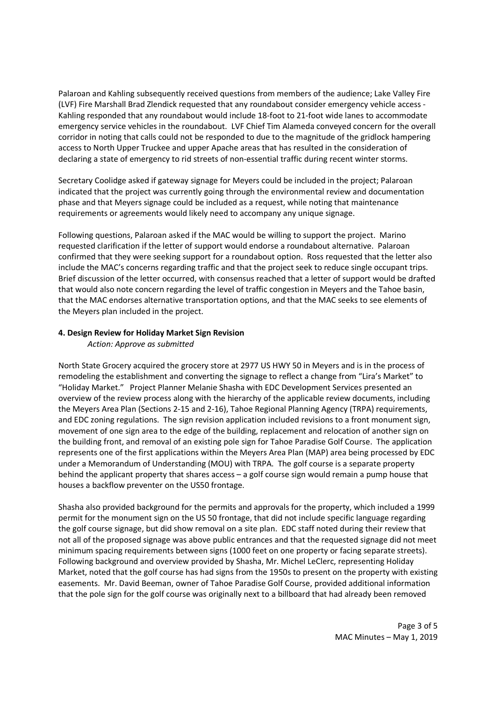Palaroan and Kahling subsequently received questions from members of the audience; Lake Valley Fire (LVF) Fire Marshall Brad Zlendick requested that any roundabout consider emergency vehicle access - Kahling responded that any roundabout would include 18-foot to 21-foot wide lanes to accommodate emergency service vehicles in the roundabout. LVF Chief Tim Alameda conveyed concern for the overall corridor in noting that calls could not be responded to due to the magnitude of the gridlock hampering access to North Upper Truckee and upper Apache areas that has resulted in the consideration of declaring a state of emergency to rid streets of non-essential traffic during recent winter storms.

Secretary Coolidge asked if gateway signage for Meyers could be included in the project; Palaroan indicated that the project was currently going through the environmental review and documentation phase and that Meyers signage could be included as a request, while noting that maintenance requirements or agreements would likely need to accompany any unique signage.

Following questions, Palaroan asked if the MAC would be willing to support the project. Marino requested clarification if the letter of support would endorse a roundabout alternative. Palaroan confirmed that they were seeking support for a roundabout option. Ross requested that the letter also include the MAC's concerns regarding traffic and that the project seek to reduce single occupant trips. Brief discussion of the letter occurred, with consensus reached that a letter of support would be drafted that would also note concern regarding the level of traffic congestion in Meyers and the Tahoe basin, that the MAC endorses alternative transportation options, and that the MAC seeks to see elements of the Meyers plan included in the project.

#### **4. Design Review for Holiday Market Sign Revision**

*Action: Approve as submitted* 

North State Grocery acquired the grocery store at 2977 US HWY 50 in Meyers and is in the process of remodeling the establishment and converting the signage to reflect a change from "Lira's Market" to "Holiday Market." Project Planner Melanie Shasha with EDC Development Services presented an overview of the review process along with the hierarchy of the applicable review documents, including the Meyers Area Plan (Sections 2-15 and 2-16), Tahoe Regional Planning Agency (TRPA) requirements, and EDC zoning regulations. The sign revision application included revisions to a front monument sign, movement of one sign area to the edge of the building, replacement and relocation of another sign on the building front, and removal of an existing pole sign for Tahoe Paradise Golf Course. The application represents one of the first applications within the Meyers Area Plan (MAP) area being processed by EDC under a Memorandum of Understanding (MOU) with TRPA. The golf course is a separate property behind the applicant property that shares access – a golf course sign would remain a pump house that houses a backflow preventer on the US50 frontage.

Shasha also provided background for the permits and approvals for the property, which included a 1999 permit for the monument sign on the US 50 frontage, that did not include specific language regarding the golf course signage, but did show removal on a site plan. EDC staff noted during their review that not all of the proposed signage was above public entrances and that the requested signage did not meet minimum spacing requirements between signs (1000 feet on one property or facing separate streets). Following background and overview provided by Shasha, Mr. Michel LeClerc, representing Holiday Market, noted that the golf course has had signs from the 1950s to present on the property with existing easements. Mr. David Beeman, owner of Tahoe Paradise Golf Course, provided additional information that the pole sign for the golf course was originally next to a billboard that had already been removed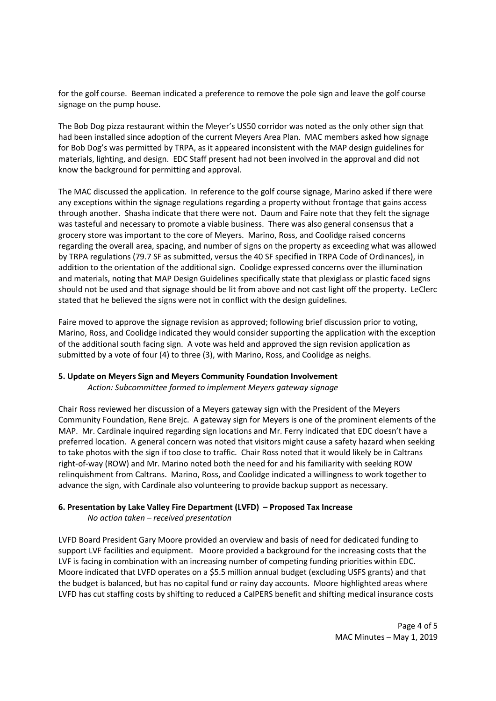for the golf course. Beeman indicated a preference to remove the pole sign and leave the golf course signage on the pump house.

The Bob Dog pizza restaurant within the Meyer's US50 corridor was noted as the only other sign that had been installed since adoption of the current Meyers Area Plan. MAC members asked how signage for Bob Dog's was permitted by TRPA, as it appeared inconsistent with the MAP design guidelines for materials, lighting, and design. EDC Staff present had not been involved in the approval and did not know the background for permitting and approval.

The MAC discussed the application. In reference to the golf course signage, Marino asked if there were any exceptions within the signage regulations regarding a property without frontage that gains access through another. Shasha indicate that there were not. Daum and Faire note that they felt the signage was tasteful and necessary to promote a viable business. There was also general consensus that a grocery store was important to the core of Meyers. Marino, Ross, and Coolidge raised concerns regarding the overall area, spacing, and number of signs on the property as exceeding what was allowed by TRPA regulations (79.7 SF as submitted, versus the 40 SF specified in TRPA Code of Ordinances), in addition to the orientation of the additional sign. Coolidge expressed concerns over the illumination and materials, noting that MAP Design Guidelines specifically state that plexiglass or plastic faced signs should not be used and that signage should be lit from above and not cast light off the property. LeClerc stated that he believed the signs were not in conflict with the design guidelines.

Faire moved to approve the signage revision as approved; following brief discussion prior to voting, Marino, Ross, and Coolidge indicated they would consider supporting the application with the exception of the additional south facing sign. A vote was held and approved the sign revision application as submitted by a vote of four (4) to three (3), with Marino, Ross, and Coolidge as neighs.

#### **5. Update on Meyers Sign and Meyers Community Foundation Involvement**

*Action: Subcommittee formed to implement Meyers gateway signage* 

Chair Ross reviewed her discussion of a Meyers gateway sign with the President of the Meyers Community Foundation, Rene Brejc. A gateway sign for Meyers is one of the prominent elements of the MAP. Mr. Cardinale inquired regarding sign locations and Mr. Ferry indicated that EDC doesn't have a preferred location. A general concern was noted that visitors might cause a safety hazard when seeking to take photos with the sign if too close to traffic. Chair Ross noted that it would likely be in Caltrans right-of-way (ROW) and Mr. Marino noted both the need for and his familiarity with seeking ROW relinquishment from Caltrans. Marino, Ross, and Coolidge indicated a willingness to work together to advance the sign, with Cardinale also volunteering to provide backup support as necessary.

## **6. Presentation by Lake Valley Fire Department (LVFD) – Proposed Tax Increase**

*No action taken – received presentation* 

LVFD Board President Gary Moore provided an overview and basis of need for dedicated funding to support LVF facilities and equipment. Moore provided a background for the increasing costs that the LVF is facing in combination with an increasing number of competing funding priorities within EDC. Moore indicated that LVFD operates on a \$5.5 million annual budget (excluding USFS grants) and that the budget is balanced, but has no capital fund or rainy day accounts. Moore highlighted areas where LVFD has cut staffing costs by shifting to reduced a CalPERS benefit and shifting medical insurance costs